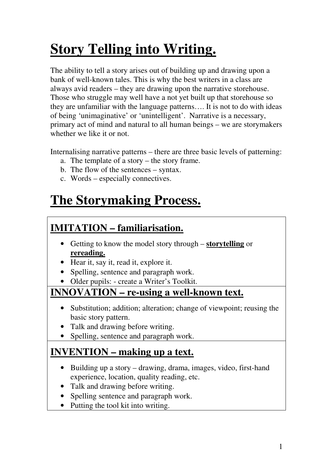# **Story Telling into Writing.**

The ability to tell a story arises out of building up and drawing upon a bank of well-known tales. This is why the best writers in a class are always avid readers – they are drawing upon the narrative storehouse. Those who struggle may well have a not yet built up that storehouse so they are unfamiliar with the language patterns…. It is not to do with ideas of being 'unimaginative' or 'unintelligent'. Narrative is a necessary, primary act of mind and natural to all human beings – we are storymakers whether we like it or not.

Internalising narrative patterns – there are three basic levels of patterning:

- a. The template of a story the story frame.
- b. The flow of the sentences syntax.
- c. Words especially connectives.

# **The Storymaking Process.**

# **IMITATION – familiarisation.**

- Getting to know the model story through **storytelling** or **rereading.**
- Hear it, say it, read it, explore it.
- Spelling, sentence and paragraph work.
- Older pupils: create a Writer's Toolkit.

## **INNOVATION – re-using a well-known text.**

- Substitution; addition; alteration; change of viewpoint; reusing the basic story pattern.
- Talk and drawing before writing.
- Spelling, sentence and paragraph work.

# **INVENTION – making up a text.**

- Building up a story drawing, drama, images, video, first-hand experience, location, quality reading, etc.
- Talk and drawing before writing.
- Spelling sentence and paragraph work.
- Putting the tool kit into writing.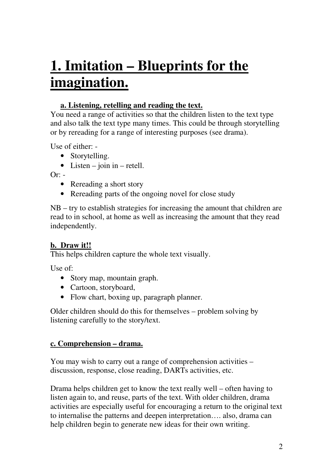# **1. Imitation – Blueprints for the imagination.**

#### **a. Listening, retelling and reading the text.**

You need a range of activities so that the children listen to the text type and also talk the text type many times. This could be through storytelling or by rereading for a range of interesting purposes (see drama).

Use of either: -

- Storytelling.
- Listen join in retell.

 $Or:$  -

- Rereading a short story
- Rereading parts of the ongoing novel for close study

NB – try to establish strategies for increasing the amount that children are read to in school, at home as well as increasing the amount that they read independently.

#### **b. Draw it!!**

This helps children capture the whole text visually.

Use of:

- Story map, mountain graph.
- Cartoon, storyboard,
- Flow chart, boxing up, paragraph planner.

Older children should do this for themselves – problem solving by listening carefully to the story/text.

#### **c. Comprehension – drama.**

You may wish to carry out a range of comprehension activities – discussion, response, close reading, DARTs activities, etc.

Drama helps children get to know the text really well – often having to listen again to, and reuse, parts of the text. With older children, drama activities are especially useful for encouraging a return to the original text to internalise the patterns and deepen interpretation…. also, drama can help children begin to generate new ideas for their own writing.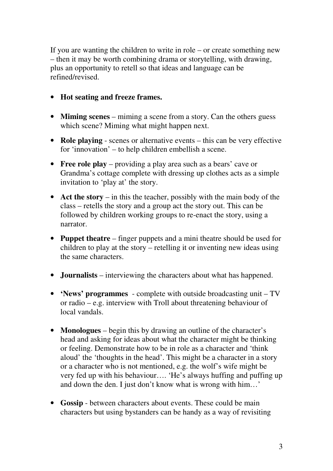If you are wanting the children to write in role – or create something new – then it may be worth combining drama or storytelling, with drawing, plus an opportunity to retell so that ideas and language can be refined/revised.

- **Hot seating and freeze frames.**
- **Miming scenes** miming a scene from a story. Can the others guess which scene? Miming what might happen next.
- **Role playing** scenes or alternative events this can be very effective for 'innovation' – to help children embellish a scene.
- **Free role play** providing a play area such as a bears' cave or Grandma's cottage complete with dressing up clothes acts as a simple invitation to 'play at' the story.
- **Act the story** in this the teacher, possibly with the main body of the class – retells the story and a group act the story out. This can be followed by children working groups to re-enact the story, using a narrator.
- **Puppet theatre** finger puppets and a mini theatre should be used for children to play at the story – retelling it or inventing new ideas using the same characters.
- **Journalists** interviewing the characters about what has happened.
- **'News' programmes** complete with outside broadcasting unit TV or radio – e.g. interview with Troll about threatening behaviour of local vandals.
- **Monologues** begin this by drawing an outline of the character's head and asking for ideas about what the character might be thinking or feeling. Demonstrate how to be in role as a character and 'think aloud' the 'thoughts in the head'. This might be a character in a story or a character who is not mentioned, e.g. the wolf's wife might be very fed up with his behaviour…. 'He's always huffing and puffing up and down the den. I just don't know what is wrong with him…'
- **Gossip** between characters about events. These could be main characters but using bystanders can be handy as a way of revisiting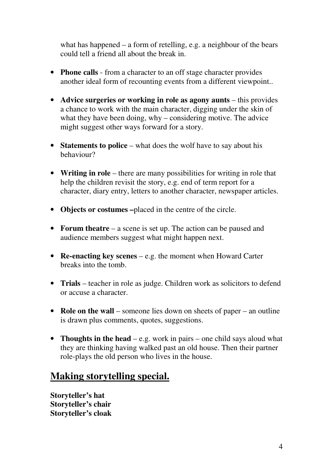what has happened – a form of retelling, e.g. a neighbour of the bears could tell a friend all about the break in.

- **Phone calls** from a character to an off stage character provides another ideal form of recounting events from a different viewpoint..
- **Advice surgeries or working in role as agony aunts** this provides a chance to work with the main character, digging under the skin of what they have been doing, why – considering motive. The advice might suggest other ways forward for a story.
- **Statements to police** what does the wolf have to say about his behaviour?
- **Writing in role** there are many possibilities for writing in role that help the children revisit the story, e.g. end of term report for a character, diary entry, letters to another character, newspaper articles.
- **Objects or costumes –**placed in the centre of the circle.
- **Forum theatre** a scene is set up. The action can be paused and audience members suggest what might happen next.
- **Re-enacting key scenes** e.g. the moment when Howard Carter breaks into the tomb.
- **Trials** teacher in role as judge. Children work as solicitors to defend or accuse a character.
- **Role on the wall** someone lies down on sheets of paper an outline is drawn plus comments, quotes, suggestions.
- **Thoughts in the head** e.g. work in pairs one child says aloud what they are thinking having walked past an old house. Then their partner role-plays the old person who lives in the house.

## **Making storytelling special.**

**Storyteller's hat Storyteller's chair Storyteller's cloak**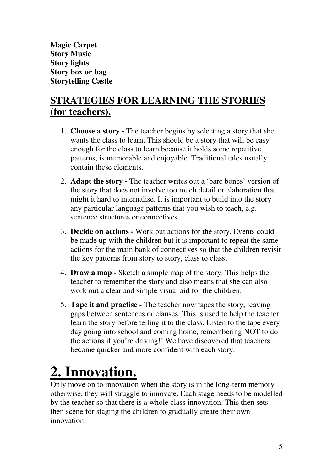**Magic Carpet Story Music Story lights Story box or bag Storytelling Castle**

# **STRATEGIES FOR LEARNING THE STORIES (for teachers).**

- 1. **Choose a story** The teacher begins by selecting a story that she wants the class to learn. This should be a story that will be easy enough for the class to learn because it holds some repetitive patterns, is memorable and enjoyable. Traditional tales usually contain these elements.
- 2. **Adapt the story** The teacher writes out a 'bare bones' version of the story that does not involve too much detail or elaboration that might it hard to internalise. It is important to build into the story any particular language patterns that you wish to teach, e.g. sentence structures or connectives
- 3. **Decide on actions** Work out actions for the story. Events could be made up with the children but it is important to repeat the same actions for the main bank of connectives so that the children revisit the key patterns from story to story, class to class.
- 4. **Draw a map** Sketch a simple map of the story. This helps the teacher to remember the story and also means that she can also work out a clear and simple visual aid for the children.
- 5. **Tape it and practise** The teacher now tapes the story, leaving gaps between sentences or clauses. This is used to help the teacher learn the story before telling it to the class. Listen to the tape every day going into school and coming home, remembering NOT to do the actions if you're driving!! We have discovered that teachers become quicker and more confident with each story.

# **2. Innovation.**

Only move on to innovation when the story is in the long-term memory  $$ otherwise, they will struggle to innovate. Each stage needs to be modelled by the teacher so that there is a whole class innovation. This then sets then scene for staging the children to gradually create their own innovation.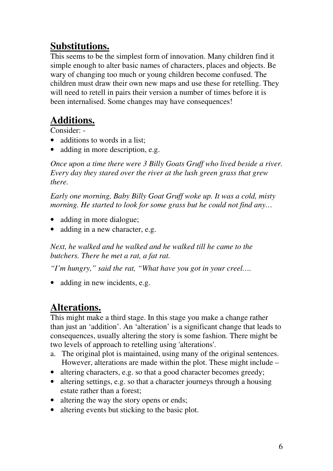# **Substitutions.**

This seems to be the simplest form of innovation. Many children find it simple enough to alter basic names of characters, places and objects. Be wary of changing too much or young children become confused. The children must draw their own new maps and use these for retelling. They will need to retell in pairs their version a number of times before it is been internalised. Some changes may have consequences!

# **Additions.**

Consider: -

- additions to words in a list:
- adding in more description, e.g.

*Once upon a time there were 3 Billy Goats Gruff who lived beside a river. Every day they stared over the river at the lush green grass that grew there.* 

*Early one morning, Baby Billy Goat Gruff woke up. It was a cold, misty morning. He started to look for some grass but he could not find any…* 

- adding in more dialogue;
- adding in a new character, e.g.

*Next, he walked and he walked and he walked till he came to the butchers. There he met a rat, a fat rat.* 

*"I'm hungry," said the rat, "What have you got in your creel….* 

• adding in new incidents, e.g.

# **Alterations.**

This might make a third stage. In this stage you make a change rather than just an 'addition'. An 'alteration' is a significant change that leads to consequences, usually altering the story is some fashion. There might be two levels of approach to retelling using 'alterations'.

- a. The original plot is maintained, using many of the original sentences. However, alterations are made within the plot. These might include –
- altering characters, e.g. so that a good character becomes greedy;
- altering settings, e.g. so that a character journeys through a housing estate rather than a forest;
- altering the way the story opens or ends;
- altering events but sticking to the basic plot.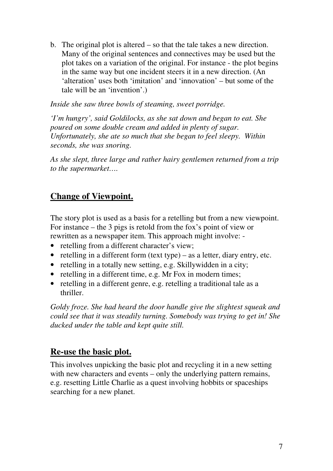b. The original plot is altered – so that the tale takes a new direction. Many of the original sentences and connectives may be used but the plot takes on a variation of the original. For instance - the plot begins in the same way but one incident steers it in a new direction. (An 'alteration' uses both 'imitation' and 'innovation' – but some of the tale will be an 'invention'.)

*Inside she saw three bowls of steaming, sweet porridge.* 

*'I'm hungry', said Goldilocks, as she sat down and began to eat. She poured on some double cream and added in plenty of sugar. Unfortunately, she ate so much that she began to feel sleepy. Within seconds, she was snoring.* 

*As she slept, three large and rather hairy gentlemen returned from a trip to the supermarket….* 

### **Change of Viewpoint.**

The story plot is used as a basis for a retelling but from a new viewpoint. For instance – the 3 pigs is retold from the fox's point of view or rewritten as a newspaper item. This approach might involve: -

- retelling from a different character's view;
- retelling in a different form (text type) as a letter, diary entry, etc.
- retelling in a totally new setting, e.g. Skillywidden in a city;
- retelling in a different time, e.g. Mr Fox in modern times;
- retelling in a different genre, e.g. retelling a traditional tale as a thriller.

*Goldy froze. She had heard the door handle give the slightest squeak and could see that it was steadily turning. Somebody was trying to get in! She ducked under the table and kept quite still.* 

#### **Re-use the basic plot.**

This involves unpicking the basic plot and recycling it in a new setting with new characters and events – only the underlying pattern remains, e.g. resetting Little Charlie as a quest involving hobbits or spaceships searching for a new planet.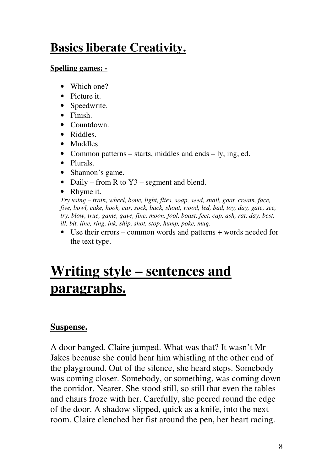# **Basics liberate Creativity.**

#### **Spelling games: -**

- Which one?
- Picture it.
- Speedwrite.
- Finish.
- Countdown.
- Riddles.
- Muddles.
- Common patterns starts, middles and ends ly, ing, ed.
- Plurals.
- Shannon's game.
- Daily from R to Y3 segment and blend.
- Rhyme it.

*Try using – train, wheel, bone, light, flies, soap, seed, snail, goat, cream, face, five, bowl, cake, hook, car, sock, back, shout, wood, led, bad, toy, day, gate, see, try, blow, true, game, gave, fine, moon, fool, boast, feet, cap, ash, rat, day, best, ill, bit, line, ring, ink, ship, shot, stop, hump, poke, mug.* 

• Use their errors – common words and patterns + words needed for the text type.

# **Writing style – sentences and paragraphs.**

### **Suspense.**

A door banged. Claire jumped. What was that? It wasn't Mr Jakes because she could hear him whistling at the other end of the playground. Out of the silence, she heard steps. Somebody was coming closer. Somebody, or something, was coming down the corridor. Nearer. She stood still, so still that even the tables and chairs froze with her. Carefully, she peered round the edge of the door. A shadow slipped, quick as a knife, into the next room. Claire clenched her fist around the pen, her heart racing.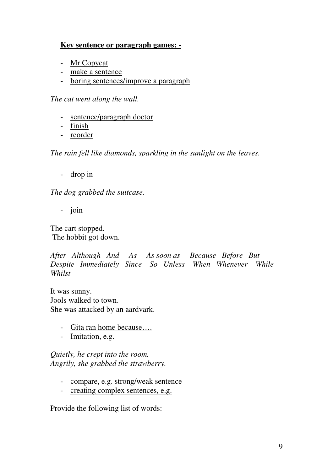### **Key sentence or paragraph games: -**

- Mr Copycat
- make a sentence
- boring sentences/improve a paragraph

*The cat went along the wall.* 

- sentence/paragraph doctor
- finish
- reorder

*The rain fell like diamonds, sparkling in the sunlight on the leaves.* 

- drop in

*The dog grabbed the suitcase.* 

- join

The cart stopped. The hobbit got down.

*After Although And As As soon as Because Before But Despite Immediately Since So Unless When Whenever While Whilst* 

It was sunny. Jools walked to town. She was attacked by an aardvark.

- Gita ran home because….
- Imitation, e.g.

*Quietly, he crept into the room. Angrily, she grabbed the strawberry.* 

- compare, e.g. strong/weak sentence
- creating complex sentences, e.g.

Provide the following list of words: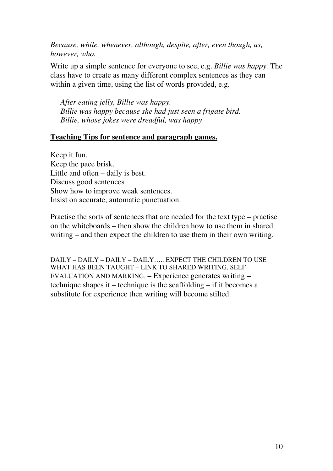*Because, while, whenever, although, despite, after, even though, as, however, who.* 

Write up a simple sentence for everyone to see, e.g. *Billie was happy.* The class have to create as many different complex sentences as they can within a given time, using the list of words provided, e.g.

*After eating jelly, Billie was happy. Billie was happy because she had just seen a frigate bird. Billie, whose jokes were dreadful, was happy* 

#### **Teaching Tips for sentence and paragraph games.**

Keep it fun. Keep the pace brisk. Little and often – daily is best. Discuss good sentences Show how to improve weak sentences. Insist on accurate, automatic punctuation.

Practise the sorts of sentences that are needed for the text type – practise on the whiteboards – then show the children how to use them in shared writing – and then expect the children to use them in their own writing.

DAILY – DAILY – DAILY – DAILY….. EXPECT THE CHILDREN TO USE WHAT HAS BEEN TAUGHT – LINK TO SHARED WRITING, SELF EVALUATION AND MARKING. – Experience generates writing – technique shapes it – technique is the scaffolding – if it becomes a substitute for experience then writing will become stilted.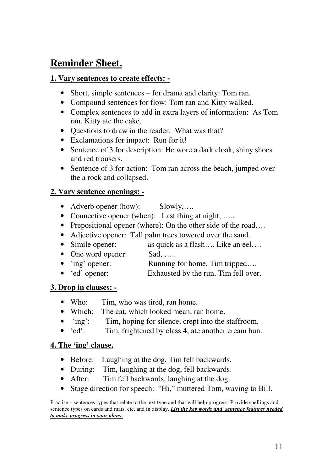## **Reminder Sheet.**

#### **1. Vary sentences to create effects: -**

- Short, simple sentences for drama and clarity: Tom ran.
- Compound sentences for flow: Tom ran and Kitty walked.
- Complex sentences to add in extra layers of information: As Tom ran, Kitty ate the cake.
- Questions to draw in the reader: What was that?
- Exclamations for impact: Run for it!
- Sentence of 3 for description: He wore a dark cloak, shiny shoes and red trousers.
- Sentence of 3 for action: Tom ran across the beach, jumped over the a rock and collapsed.

#### **2. Vary sentence openings: -**

- Adverb opener (how): Slowly,....
- Connective opener (when): Last thing at night, .....
- Prepositional opener (where): On the other side of the road....
- Adjective opener: Tall palm trees towered over the sand.
- Simile opener: as quick as a flash.... Like an eel....
- One word opener: Sad, .....
- 'ing' opener: Running for home, Tim tripped....
- 'ed' opener: Exhausted by the run, Tim fell over.

#### **3. Drop in clauses: -**

- Who: Tim, who was tired, ran home.
- Which: The cat, which looked mean, ran home.
- 'ing': Tim, hoping for silence, crept into the staffroom.
- 'ed': Tim, frightened by class 4, ate another cream bun.

#### **4. The 'ing' clause.**

- Before: Laughing at the dog, Tim fell backwards.
- During: Tim, laughing at the dog, fell backwards.
- After: Tim fell backwards, laughing at the dog.
- Stage direction for speech: "Hi," muttered Tom, waving to Bill.

Practise – sentences types that relate to the text type and that will help progress. Provide spellings and sentence types on cards and mats, etc. and in display. *List the key words and sentence features needed to make progress in your plans.*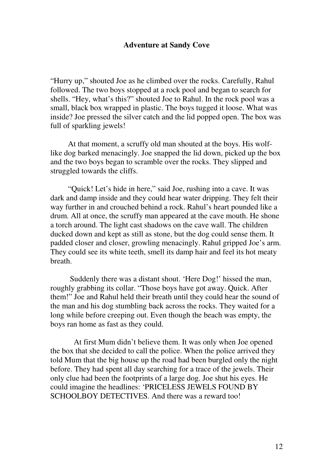#### **Adventure at Sandy Cove**

"Hurry up," shouted Joe as he climbed over the rocks. Carefully, Rahul followed. The two boys stopped at a rock pool and began to search for shells. "Hey, what's this?" shouted Joe to Rahul. In the rock pool was a small, black box wrapped in plastic. The boys tugged it loose. What was inside? Joe pressed the silver catch and the lid popped open. The box was full of sparkling jewels!

 At that moment, a scruffy old man shouted at the boys. His wolflike dog barked menacingly. Joe snapped the lid down, picked up the box and the two boys began to scramble over the rocks. They slipped and struggled towards the cliffs.

 "Quick! Let's hide in here," said Joe, rushing into a cave. It was dark and damp inside and they could hear water dripping. They felt their way further in and crouched behind a rock. Rahul's heart pounded like a drum. All at once, the scruffy man appeared at the cave mouth. He shone a torch around. The light cast shadows on the cave wall. The children ducked down and kept as still as stone, but the dog could sense them. It padded closer and closer, growling menacingly. Rahul gripped Joe's arm. They could see its white teeth, smell its damp hair and feel its hot meaty breath.

 Suddenly there was a distant shout. 'Here Dog!' hissed the man, roughly grabbing its collar. "Those boys have got away. Quick. After them!" Joe and Rahul held their breath until they could hear the sound of the man and his dog stumbling back across the rocks. They waited for a long while before creeping out. Even though the beach was empty, the boys ran home as fast as they could.

 At first Mum didn't believe them. It was only when Joe opened the box that she decided to call the police. When the police arrived they told Mum that the big house up the road had been burgled only the night before. They had spent all day searching for a trace of the jewels. Their only clue had been the footprints of a large dog. Joe shut his eyes. He could imagine the headlines: 'PRICELESS JEWELS FOUND BY SCHOOLBOY DETECTIVES. And there was a reward too!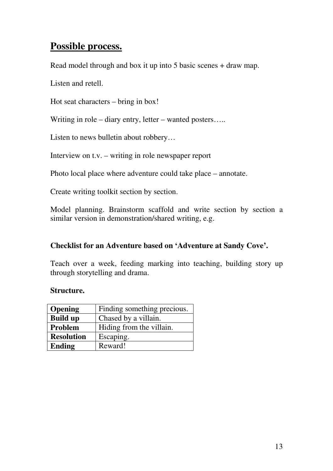## **Possible process.**

Read model through and box it up into 5 basic scenes + draw map.

Listen and retell.

Hot seat characters – bring in box!

Writing in role – diary entry, letter – wanted posters.....

Listen to news bulletin about robbery…

Interview on t.v. – writing in role newspaper report

Photo local place where adventure could take place – annotate.

Create writing toolkit section by section.

Model planning. Brainstorm scaffold and write section by section a similar version in demonstration/shared writing, e.g.

#### **Checklist for an Adventure based on 'Adventure at Sandy Cove'.**

Teach over a week, feeding marking into teaching, building story up through storytelling and drama.

#### **Structure.**

| <b>Opening</b>    | Finding something precious. |
|-------------------|-----------------------------|
| <b>Build up</b>   | Chased by a villain.        |
| Problem           | Hiding from the villain.    |
| <b>Resolution</b> | Escaping.                   |
| Ending            | Reward!                     |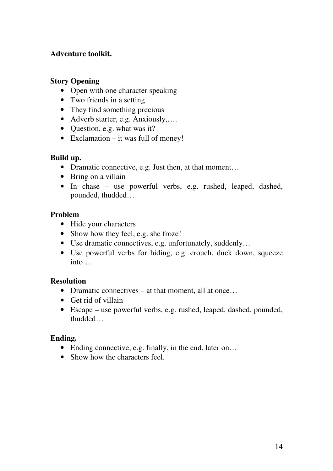#### **Adventure toolkit.**

#### **Story Opening**

- Open with one character speaking
- Two friends in a setting
- They find something precious
- Adverb starter, e.g. Anxiously,....
- Question, e.g. what was it?
- Exclamation it was full of money!

#### **Build up.**

- Dramatic connective, e.g. Just then, at that moment...
- Bring on a villain
- In chase use powerful verbs, e.g. rushed, leaped, dashed, pounded, thudded…

#### **Problem**

- Hide your characters
- Show how they feel, e.g. she froze!
- Use dramatic connectives, e.g. unfortunately, suddenly...
- Use powerful verbs for hiding, e.g. crouch, duck down, squeeze into…

#### **Resolution**

- Dramatic connectives at that moment, all at once...
- Get rid of villain
- Escape use powerful verbs, e.g. rushed, leaped, dashed, pounded, thudded…

#### **Ending.**

- Ending connective, e.g. finally, in the end, later on...
- Show how the characters feel.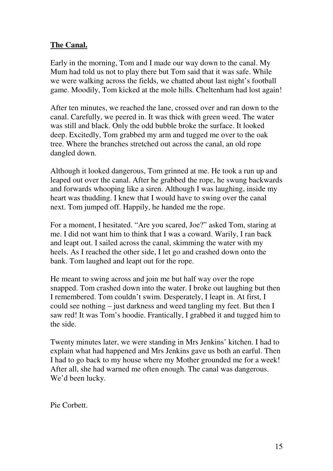#### **The Canal.**

Early in the morning, Tom and I made our way down to the canal. My Mum had told us not to play there but Tom said that it was safe. While we were walking across the fields, we chatted about last night's football game. Moodily, Tom kicked at the mole hills. Cheltenham had lost again!

After ten minutes, we reached the lane, crossed over and ran down to the canal. Carefully, we peered in. It was thick with green weed. The water was still and black. Only the odd bubble broke the surface. It looked deep. Excitedly, Tom grabbed my arm and tugged me over to the oak tree. Where the branches stretched out across the canal, an old rope dangled down.

Although it looked dangerous, Tom grinned at me. He took a run up and leaped out over the canal. After he grabbed the rope, he swung backwards and forwards whooping like a siren. Although I was laughing, inside my heart was thudding. I knew that I would have to swing over the canal next. Tom jumped off. Happily, he handed me the rope.

For a moment, I hesitated. "Are you scared, Joe?" asked Tom, staring at me. I did not want him to think that I was a coward. Warily, I ran back and leapt out. I sailed across the canal, skimming the water with my heels. As I reached the other side, I let go and crashed down onto the bank. Tom laughed and leapt out for the rope.

He meant to swing across and join me but half way over the rope snapped. Tom crashed down into the water. I broke out laughing but then I remembered. Tom couldn't swim. Desperately, I leapt in. At first, I could see nothing – just darkness and weed tangling my feet. But then I saw red! It was Tom's hoodie. Frantically, I grabbed it and tugged him to the side.

Twenty minutes later, we were standing in Mrs Jenkins' kitchen. I had to explain what had happened and Mrs Jenkins gave us both an earful. Then I had to go back to my house where my Mother grounded me for a week! After all, she had warned me often enough. The canal was dangerous. We'd been lucky.

Pie Corbett.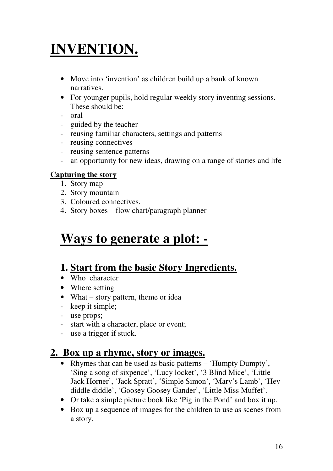# **INVENTION.**

- Move into 'invention' as children build up a bank of known narratives.
- For younger pupils, hold regular weekly story inventing sessions. These should be:
- oral
- guided by the teacher
- reusing familiar characters, settings and patterns
- reusing connectives
- reusing sentence patterns
- an opportunity for new ideas, drawing on a range of stories and life

#### **Capturing the story**

- 1. Story map
- 2. Story mountain
- 3. Coloured connectives.
- 4. Story boxes flow chart/paragraph planner

# **Ways to generate a plot: -**

## **1. Start from the basic Story Ingredients.**

- Who character
- Where setting
- What story pattern, theme or idea
- keep it simple;
- use props;
- start with a character, place or event;
- use a trigger if stuck.

## **2. Box up a rhyme, story or images.**

- Rhymes that can be used as basic patterns 'Humpty Dumpty', 'Sing a song of sixpence', 'Lucy locket', '3 Blind Mice', 'Little Jack Horner', 'Jack Spratt', 'Simple Simon', 'Mary's Lamb', 'Hey diddle diddle', 'Goosey Goosey Gander', 'Little Miss Muffet'.
- Or take a simple picture book like 'Pig in the Pond' and box it up.
- Box up a sequence of images for the children to use as scenes from a story.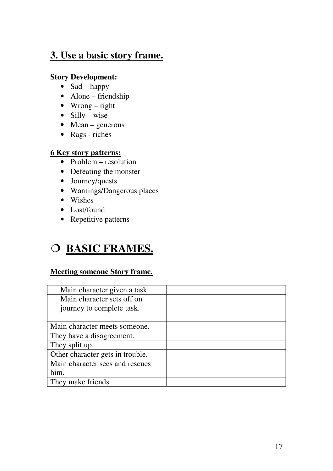## **3. Use a basic story frame.**

#### **Story Development:**

- $\bullet$  Sad happy
- Alone friendship
- Wrong right
- Silly wise
- $\bullet$  Mean generous
- Rags riches

#### **6 Key story patterns:**

- Problem resolution
- Defeating the monster
- Journey/quests
- Warnings/Dangerous places
- Wishes
- Lost/found
- Repetitive patterns

# O BASIC FRAMES.

#### **Meeting someone Story frame.**

| Main character given a task.     |  |
|----------------------------------|--|
| Main character sets off on       |  |
| journey to complete task.        |  |
|                                  |  |
| Main character meets someone.    |  |
| They have a disagreement.        |  |
| They split up.                   |  |
| Other character gets in trouble. |  |
| Main character sees and rescues  |  |
| him.                             |  |
| They make friends.               |  |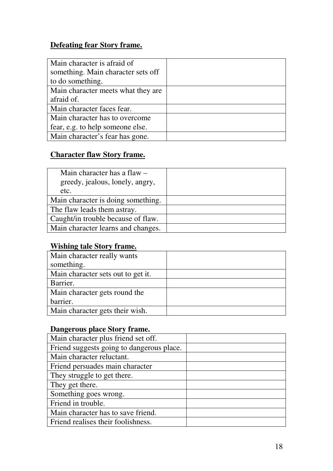## **Defeating fear Story frame.**

| Main character is afraid of        |  |
|------------------------------------|--|
| something. Main character sets off |  |
| to do something.                   |  |
| Main character meets what they are |  |
| afraid of.                         |  |
| Main character faces fear.         |  |
| Main character has to overcome     |  |
| fear, e.g. to help someone else.   |  |
| Main character's fear has gone.    |  |

## **Character flaw Story frame.**

| Main character has a flaw $-$      |  |
|------------------------------------|--|
| greedy, jealous, lonely, angry,    |  |
| etc.                               |  |
| Main character is doing something. |  |
| The flaw leads them astray.        |  |
| Caught/in trouble because of flaw. |  |
| Main character learns and changes. |  |

### **Wishing tale Story frame.**

| Main character really wants        |  |
|------------------------------------|--|
| something.                         |  |
| Main character sets out to get it. |  |
| Barrier.                           |  |
| Main character gets round the      |  |
| barrier.                           |  |
| Main character gets their wish.    |  |

### **Dangerous place Story frame.**

| Main character plus friend set off.       |  |
|-------------------------------------------|--|
| Friend suggests going to dangerous place. |  |
| Main character reluctant.                 |  |
| Friend persuades main character           |  |
| They struggle to get there.               |  |
| They get there.                           |  |
| Something goes wrong.                     |  |
| Friend in trouble.                        |  |
| Main character has to save friend.        |  |
| Friend realises their foolishness.        |  |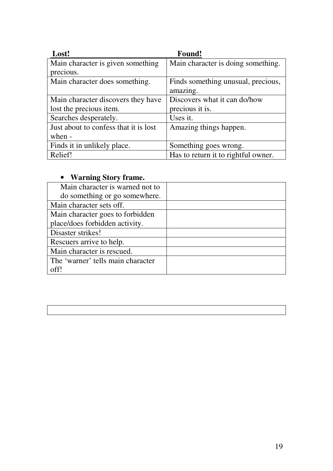| Lost!                                 | Found!                              |
|---------------------------------------|-------------------------------------|
| Main character is given something     | Main character is doing something.  |
| precious.                             |                                     |
| Main character does something.        | Finds something unusual, precious,  |
|                                       | amazing.                            |
| Main character discovers they have    | Discovers what it can do/how        |
| lost the precious item.               | precious it is.                     |
| Searches desperately.                 | Uses it.                            |
| Just about to confess that it is lost | Amazing things happen.              |
| when -                                |                                     |
| Finds it in unlikely place.           | Something goes wrong.               |
| Relief!                               | Has to return it to rightful owner. |

#### • **Warning Story frame.**

| Main character is warned not to   |  |
|-----------------------------------|--|
| do something or go somewhere.     |  |
| Main character sets off.          |  |
| Main character goes to forbidden  |  |
| place/does forbidden activity.    |  |
| Disaster strikes!                 |  |
| Rescuers arrive to help.          |  |
| Main character is rescued.        |  |
| The 'warner' tells main character |  |
| pff                               |  |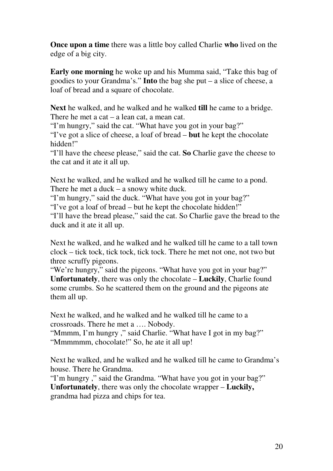**Once upon a time** there was a little boy called Charlie **who** lived on the edge of a big city.

**Early one morning** he woke up and his Mumma said, "Take this bag of goodies to your Grandma's." **Into** the bag she put – a slice of cheese, a loaf of bread and a square of chocolate.

**Next** he walked, and he walked and he walked **till** he came to a bridge. There he met a cat – a lean cat, a mean cat.

"I'm hungry," said the cat. "What have you got in your bag?"

"I've got a slice of cheese, a loaf of bread – **but** he kept the chocolate hidden!"

"I'll have the cheese please," said the cat. **So** Charlie gave the cheese to the cat and it ate it all up.

Next he walked, and he walked and he walked till he came to a pond. There he met a duck – a snowy white duck.

"I'm hungry," said the duck. "What have you got in your bag?"

"I've got a loaf of bread – but he kept the chocolate hidden!"

"I'll have the bread please," said the cat. So Charlie gave the bread to the duck and it ate it all up.

Next he walked, and he walked and he walked till he came to a tall town clock – tick tock, tick tock, tick tock. There he met not one, not two but three scruffy pigeons.

"We're hungry," said the pigeons. "What have you got in your bag?" **Unfortunately**, there was only the chocolate – **Luckily**, Charlie found some crumbs. So he scattered them on the ground and the pigeons ate them all up.

Next he walked, and he walked and he walked till he came to a crossroads. There he met a …. Nobody.

"Mmmm, I'm hungry ," said Charlie. "What have I got in my bag?" "Mmmmmm, chocolate!" So, he ate it all up!

Next he walked, and he walked and he walked till he came to Grandma's house. There he Grandma.

"I'm hungry ," said the Grandma. "What have you got in your bag?" **Unfortunately**, there was only the chocolate wrapper – **Luckily,** grandma had pizza and chips for tea.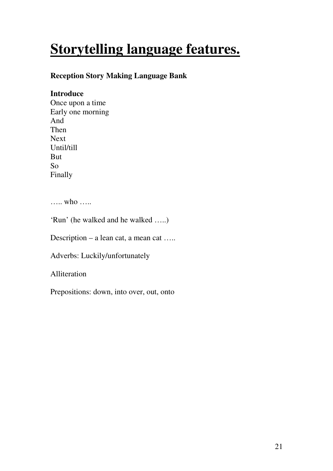# **Storytelling language features.**

#### **Reception Story Making Language Bank**

#### **Introduce**

Once upon a time Early one morning And Then Next Until/till But So Finally

….. who …..

'Run' (he walked and he walked …..)

Description – a lean cat, a mean cat …..

Adverbs: Luckily/unfortunately

Alliteration

Prepositions: down, into over, out, onto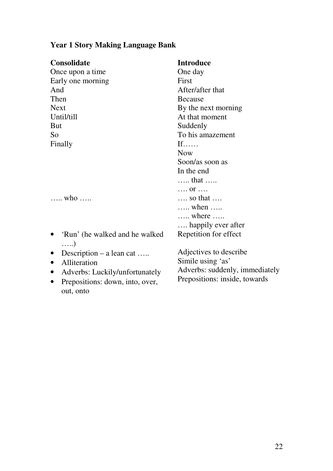## **Year 1 Story Making Language Bank**

| <b>Consolidate</b>                            | <b>Introduce</b>               |
|-----------------------------------------------|--------------------------------|
| Once upon a time                              | One day                        |
| Early one morning                             | First                          |
| And                                           | After/after that               |
| Then                                          | <b>Because</b>                 |
| <b>Next</b>                                   | By the next morning            |
| Until/till                                    | At that moment                 |
| <b>But</b>                                    | Suddenly                       |
| So                                            | To his amazement               |
| Finally                                       | $If \dots$                     |
|                                               | <b>Now</b>                     |
|                                               | Soon/as soon as                |
|                                               | In the end                     |
|                                               | that                           |
|                                               | $\ldots$ or $\ldots$           |
| who                                           | $\ldots$ so that $\ldots$      |
|                                               | $\ldots$ when $\ldots$         |
|                                               | where                          |
|                                               | happily ever after             |
| 'Run' (he walked and he walked<br>$\ldots$ .) | Repetition for effect          |
| Description $-$ a lean cat<br>$\bullet$       | Adjectives to describe         |
| Alliteration<br>$\bullet$                     | Simile using 'as'              |
| Adverbs: Luckily/unfortunately<br>$\bullet$   | Adverbs: suddenly, immediately |
| Prepositions: down, into, over,<br>$\bullet$  | Prepositions: inside, towards  |
| out, onto                                     |                                |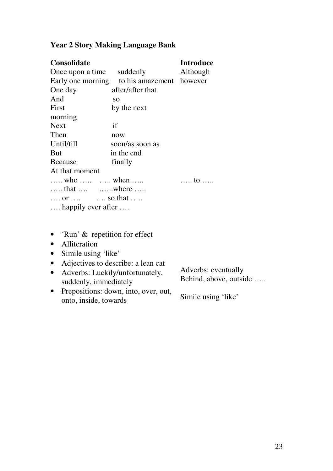| <b>Consolidate</b>               |                                            | <b>Introduce</b> |
|----------------------------------|--------------------------------------------|------------------|
| Once upon a time suddenly        |                                            | Although         |
|                                  | Early one morning to his amazement however |                  |
| One day                          | after/after that                           |                  |
| And                              | <b>SO</b>                                  |                  |
| First                            | by the next                                |                  |
| morning                          |                                            |                  |
| <b>Next</b>                      | if                                         |                  |
| Then                             | now                                        |                  |
| Until/till                       | soon/as soon as                            |                  |
| But                              | in the end                                 |                  |
| <b>Because</b>                   | finally                                    |                  |
| At that moment                   |                                            |                  |
| who   when                       |                                            | to               |
| that $\dots$ where               |                                            |                  |
| or $\qquad \ldots$ so that       |                                            |                  |
| happily ever after               |                                            |                  |
|                                  |                                            |                  |
|                                  |                                            |                  |
| 'Run' & repetition for effect    |                                            |                  |
| Alliteration                     |                                            |                  |
| Simile using 'like'<br>$\bullet$ |                                            |                  |

#### **Year 2 Story Making Language Bank**

- Adjectives to describe: a lean cat • Adverbs: Luckily/unfortunately, suddenly, immediately Adverbs: eventually Behind, above, outside …..
- Prepositions: down, into, over, out, onto, inside, towards Simile using 'like'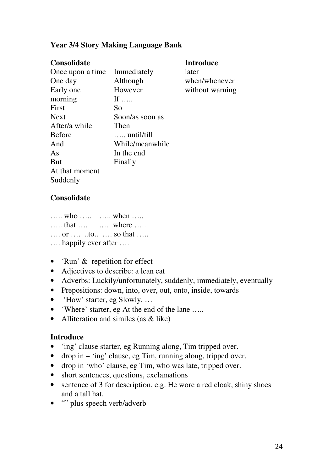#### **Year 3/4 Story Making Language Bank**

| <b>Consolidate</b> |                     | <b>Introduce</b> |
|--------------------|---------------------|------------------|
| Once upon a time   | Immediately         | later            |
| One day            | Although            | when/whenever    |
| Early one          | However             | without warning  |
| morning            | If $\ldots$         |                  |
| First              | So                  |                  |
| <b>Next</b>        | Soon/as soon as     |                  |
| After/a while      | Then                |                  |
| <b>Before</b>      | $\ldots$ until/till |                  |
| And                | While/meanwhile     |                  |
| As                 | In the end          |                  |
| <b>But</b>         | Finally             |                  |
| At that moment     |                     |                  |
| Suddenly           |                     |                  |

#### **Consolidate**

…… who …… …… when …… …… that …. …… where …… …. or …. ..to.. …. so that ….. …. happily ever after ….

- 'Run' & repetition for effect
- Adjectives to describe: a lean cat
- Adverbs: Luckily/unfortunately, suddenly, immediately, eventually
- Prepositions: down, into, over, out, onto, inside, towards
- 'How' starter, eg Slowly, ...
- 'Where' starter, eg At the end of the lane .....
- Alliteration and similes (as & like)

#### **Introduce**

- 'ing' clause starter, eg Running along, Tim tripped over.
- drop in 'ing' clause, eg Tim, running along, tripped over.
- drop in 'who' clause, eg Tim, who was late, tripped over.
- short sentences, questions, exclamations
- sentence of 3 for description, e.g. He wore a red cloak, shiny shoes and a tall hat.
- "" plus speech verb/adverb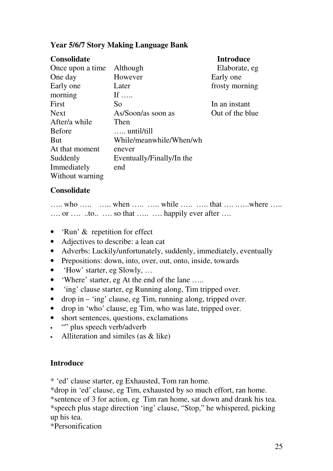#### **Year 5/6/7 Story Making Language Bank**

| <b>Consolidate</b> |                           | <b>Introduce</b> |
|--------------------|---------------------------|------------------|
| Once upon a time   | Although                  | Elaborate, eg    |
| One day            | However                   | Early one        |
| Early one          | Later                     | frosty morning   |
| morning            | If $\ldots$               |                  |
| First              | So                        | In an instant    |
| <b>Next</b>        | As/Soon/as soon as        | Out of the blue  |
| After/a while      | Then                      |                  |
| <b>Before</b>      | $\ldots$ until/till       |                  |
| <b>But</b>         | While/meanwhile/When/wh   |                  |
| At that moment     | enever                    |                  |
| Suddenly           | Eventually/Finally/In the |                  |
| Immediately        | end                       |                  |
| Without warning    |                           |                  |

#### **Consolidate**

|  | who   when   while   that  where     |  |  |  |  |
|--|--------------------------------------|--|--|--|--|
|  | or  to  so that   happily ever after |  |  |  |  |

- 'Run' & repetition for effect
- Adjectives to describe: a lean cat
- Adverbs: Luckily/unfortunately, suddenly, immediately, eventually
- Prepositions: down, into, over, out, onto, inside, towards
- 'How' starter, eg Slowly, ...
- 'Where' starter, eg At the end of the lane .....
- 'ing' clause starter, eg Running along, Tim tripped over.
- drop in 'ing' clause, eg Tim, running along, tripped over.
- drop in 'who' clause, eg Tim, who was late, tripped over.
- short sentences, questions, exclamations
- "" plus speech verb/adverb
- Alliteration and similes (as & like)

#### **Introduce**

\* 'ed' clause starter, eg Exhausted, Tom ran home.

\*drop in 'ed' clause, eg Tim, exhausted by so much effort, ran home.

\*sentence of 3 for action, eg Tim ran home, sat down and drank his tea. \*speech plus stage direction 'ing' clause, "Stop," he whispered, picking up his tea.

\*Personification